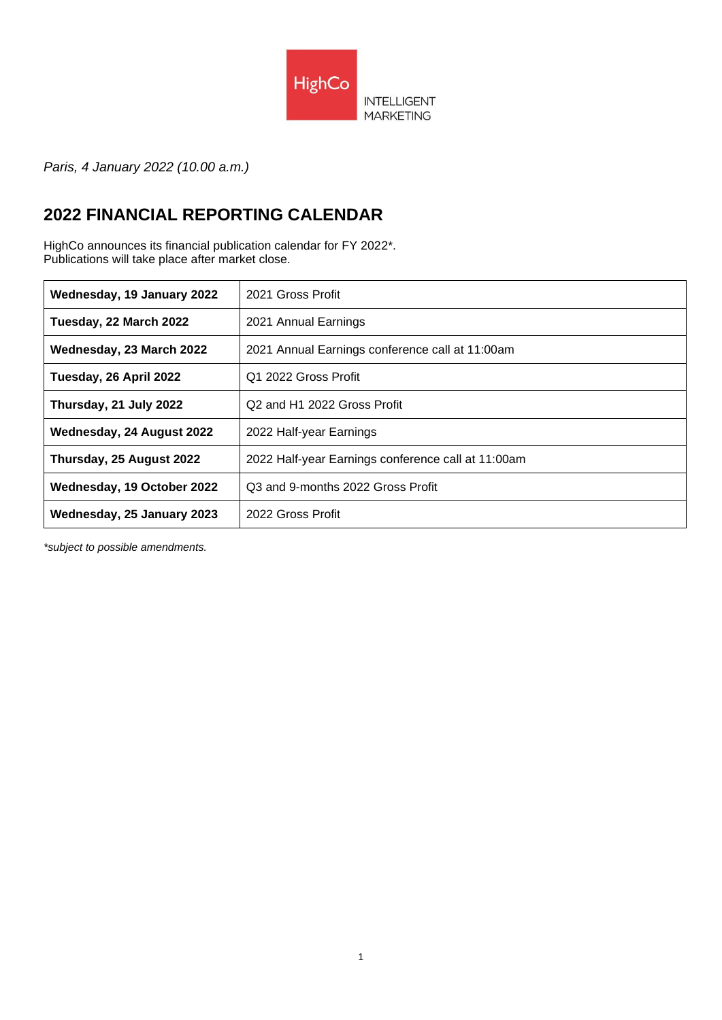

*Paris, 4 January 2022 (10.00 a.m.)*

## **2022 FINANCIAL REPORTING CALENDAR**

HighCo announces its financial publication calendar for FY 2022\*. Publications will take place after market close.

| Wednesday, 19 January 2022 | 2021 Gross Profit                                   |
|----------------------------|-----------------------------------------------------|
| Tuesday, 22 March 2022     | 2021 Annual Earnings                                |
| Wednesday, 23 March 2022   | 2021 Annual Earnings conference call at 11:00am     |
| Tuesday, 26 April 2022     | Q1 2022 Gross Profit                                |
| Thursday, 21 July 2022     | Q <sub>2</sub> and H <sub>1</sub> 2022 Gross Profit |
| Wednesday, 24 August 2022  | 2022 Half-year Earnings                             |
| Thursday, 25 August 2022   | 2022 Half-year Earnings conference call at 11:00am  |
| Wednesday, 19 October 2022 | Q3 and 9-months 2022 Gross Profit                   |
| Wednesday, 25 January 2023 | 2022 Gross Profit                                   |

*\*subject to possible amendments.*